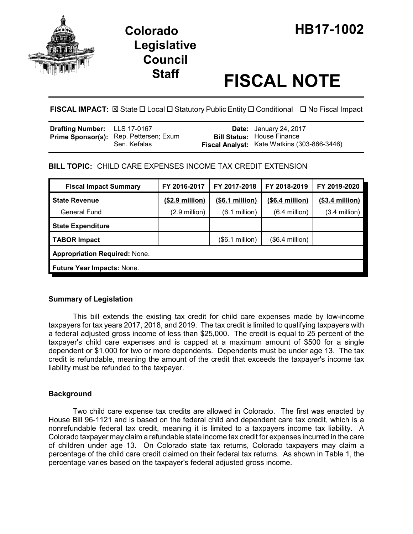

# **Legislative Council**

# **Staff FISCAL NOTE**

**FISCAL IMPACT:** ⊠ State □ Local □ Statutory Public Entity □ Conditional □ No Fiscal Impact

| Drafting Number: LLS 17-0167 |                                                               | <b>Date:</b> January 24, 2017                                                    |
|------------------------------|---------------------------------------------------------------|----------------------------------------------------------------------------------|
|                              | <b>Prime Sponsor(s):</b> Rep. Pettersen; Exum<br>Sen. Kefalas | <b>Bill Status:</b> House Finance<br>Fiscal Analyst: Kate Watkins (303-866-3446) |

# **BILL TOPIC:** CHILD CARE EXPENSES INCOME TAX CREDIT EXTENSION

| <b>Fiscal Impact Summary</b>         | FY 2016-2017    | FY 2017-2018            | FY 2018-2019     | FY 2019-2020     |  |  |  |
|--------------------------------------|-----------------|-------------------------|------------------|------------------|--|--|--|
| <b>State Revenue</b>                 | (\$2.9 million) | (\$6.1 million)         | (\$6.4 million)  | $($3.4$ million) |  |  |  |
| General Fund                         | (2.9 million)   | $(6.1 \text{ million})$ | $(6.4$ million)  | $(3.4$ million)  |  |  |  |
| <b>State Expenditure</b>             |                 |                         |                  |                  |  |  |  |
| <b>TABOR Impact</b>                  |                 | (\$6.1 million)         | $($6.4$ million) |                  |  |  |  |
| <b>Appropriation Required: None.</b> |                 |                         |                  |                  |  |  |  |
| <b>Future Year Impacts: None.</b>    |                 |                         |                  |                  |  |  |  |

# **Summary of Legislation**

This bill extends the existing tax credit for child care expenses made by low-income taxpayers for tax years 2017, 2018, and 2019. The tax credit is limited to qualifying taxpayers with a federal adjusted gross income of less than \$25,000. The credit is equal to 25 percent of the taxpayer's child care expenses and is capped at a maximum amount of \$500 for a single dependent or \$1,000 for two or more dependents. Dependents must be under age 13. The tax credit is refundable, meaning the amount of the credit that exceeds the taxpayer's income tax liability must be refunded to the taxpayer.

# **Background**

Two child care expense tax credits are allowed in Colorado. The first was enacted by House Bill 96-1121 and is based on the federal child and dependent care tax credit, which is a nonrefundable federal tax credit, meaning it is limited to a taxpayers income tax liability. A Colorado taxpayer may claim a refundable state income tax credit for expenses incurred in the care of children under age 13. On Colorado state tax returns, Colorado taxpayers may claim a percentage of the child care credit claimed on their federal tax returns. As shown in Table 1, the percentage varies based on the taxpayer's federal adjusted gross income.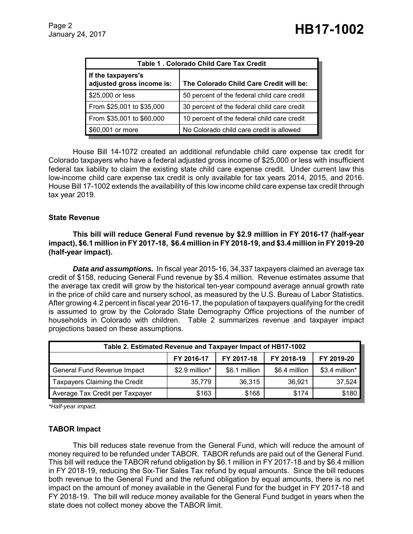| Table 1. Colorado Child Care Tax Credit         |                                             |  |  |  |  |
|-------------------------------------------------|---------------------------------------------|--|--|--|--|
| If the taxpayers's<br>adjusted gross income is: | The Colorado Child Care Credit will be:     |  |  |  |  |
| \$25,000 or less                                | 50 percent of the federal child care credit |  |  |  |  |
| From \$25,001 to \$35,000                       | 30 percent of the federal child care credit |  |  |  |  |
| From \$35,001 to \$60,000                       | 10 percent of the federal child care credit |  |  |  |  |
| \$60,001 or more                                | No Colorado child care credit is allowed    |  |  |  |  |

House Bill 14-1072 created an additional refundable child care expense tax credit for Colorado taxpayers who have a federal adjusted gross income of \$25,000 or less with insufficient federal tax liability to claim the existing state child care expense credit. Under current law this low-income child care expense tax credit is only available for tax years 2014, 2015, and 2016. House Bill 17-1002 extends the availability of this low income child care expense tax credit through tax year 2019.

#### **State Revenue**

**This bill will reduce General Fund revenue by \$2.9 million in FY 2016-17 (half-year impact), \$6.1 million in FY 2017-18, \$6.4 million in FY 2018-19, and \$3.4 million in FY 2019-20 (half-year impact).**

*Data and assumptions.* In fiscal year 2015-16, 34,337 taxpayers claimed an average tax credit of \$158, reducing General Fund revenue by \$5.4 million. Revenue estimates assume that the average tax credit will grow by the historical ten-year compound average annual growth rate in the price of child care and nursery school, as measured by the U.S. Bureau of Labor Statistics. After growing 4.2 percent in fiscal year 2016-17, the population of taxpayers qualifying for the credit is assumed to grow by the Colorado State Demography Office projections of the number of households in Colorado with children. Table 2 summarizes revenue and taxpayer impact projections based on these assumptions.

| Table 2. Estimated Revenue and Taxpayer Impact of HB17-1002 |                |               |               |                |  |  |  |  |
|-------------------------------------------------------------|----------------|---------------|---------------|----------------|--|--|--|--|
|                                                             | FY 2016-17     | FY 2017-18    | FY 2018-19    | FY 2019-20     |  |  |  |  |
| General Fund Revenue Impact                                 | \$2.9 million* | \$6.1 million | \$6.4 million | \$3.4 million* |  |  |  |  |
| Taxpayers Claiming the Credit                               | 35,779         | 36,315        | 36.921        | 37,524         |  |  |  |  |
| Average Tax Credit per Taxpayer                             | \$163          | \$168         | \$174         | \$180          |  |  |  |  |

*\*Half-year impact.*

### **TABOR Impact**

This bill reduces state revenue from the General Fund, which will reduce the amount of money required to be refunded under TABOR. TABOR refunds are paid out of the General Fund. This bill will reduce the TABOR refund obligation by \$6.1 million in FY 2017-18 and by \$6.4 million in FY 2018-19, reducing the Six-Tier Sales Tax refund by equal amounts. Since the bill reduces both revenue to the General Fund and the refund obligation by equal amounts, there is no net impact on the amount of money available in the General Fund for the budget in FY 2017-18 and FY 2018-19. The bill will reduce money available for the General Fund budget in years when the state does not collect money above the TABOR limit.